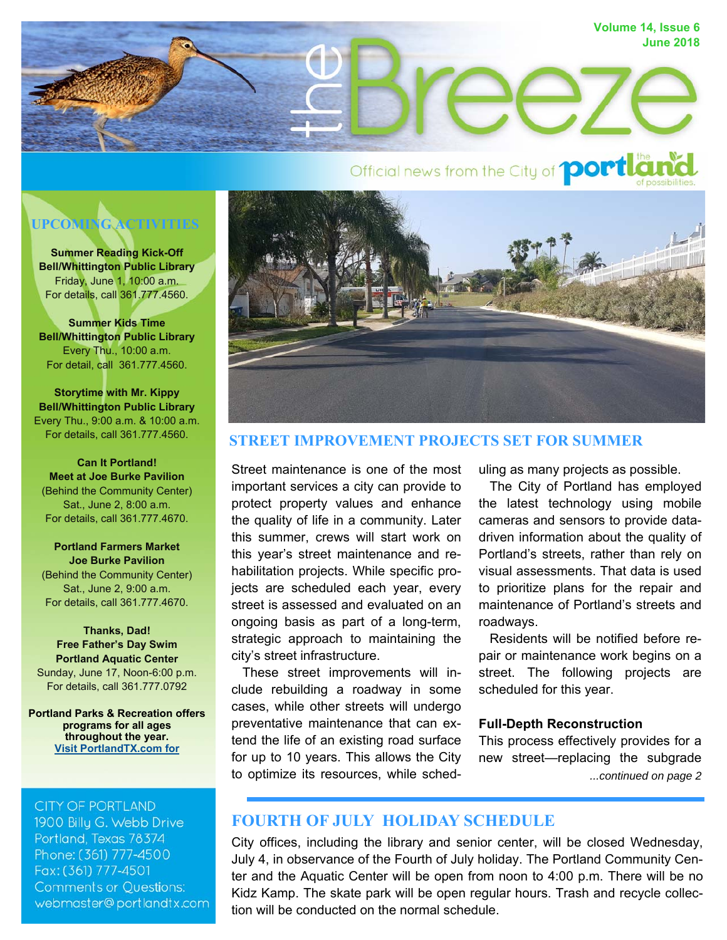

# Official news from the City of **portlan**

# **UPCOMING ACTIVITIES**

**Summer Reading Kick-Off Bell/Whittington Public Library**  Friday, June 1, 10:00 a.m. For details, call 361.777.4560.

**Summer Kids Time Bell/Whittington Public Library**  Every Thu., 10:00 a.m. For detail, call 361.777.4560.

**Storytime with Mr. Kippy Bell/Whittington Public Library**  Every Thu., 9:00 a.m. & 10:00 a.m. For details, call 361.777.4560.

**Can It Portland! Meet at Joe Burke Pavilion**  (Behind the Community Center) Sat., June 2, 8:00 a.m. For details, call 361.777.4670.

**Portland Farmers Market Joe Burke Pavilion**  (Behind the Community Center) Sat., June 2, 9:00 a.m. For details, call 361.777.4670.

**Thanks, Dad! Free Father's Day Swim Portland Aquatic Center**  Sunday, June 17, Noon-6:00 p.m. For details, call 361.777.0792

**Portland Parks & Recreation offers programs for all ages throughout the year. Visit PortlandTX.com for** 

#### **CITY OF PORTLAND**

1900 Billy G. Webb Drive Portland, Texas 78374 Phone: (361) 777-4500 Fax: (361) 777-4501 **Comments or Questions:** webmaster@portlandtx.com



#### **STREET IMPROVEMENT PROJECTS SET FOR SUMMER**

Street maintenance is one of the most important services a city can provide to protect property values and enhance the quality of life in a community. Later this summer, crews will start work on this year's street maintenance and rehabilitation projects. While specific projects are scheduled each year, every street is assessed and evaluated on an ongoing basis as part of a long-term, strategic approach to maintaining the city's street infrastructure.

 These street improvements will include rebuilding a roadway in some cases, while other streets will undergo preventative maintenance that can extend the life of an existing road surface for up to 10 years. This allows the City to optimize its resources, while scheduling as many projects as possible.

 The City of Portland has employed the latest technology using mobile cameras and sensors to provide datadriven information about the quality of Portland's streets, rather than rely on visual assessments. That data is used to prioritize plans for the repair and maintenance of Portland's streets and roadways.

 Residents will be notified before repair or maintenance work begins on a street. The following projects are scheduled for this year.

#### **Full-Depth Reconstruction**

*...continued on page 2* This process effectively provides for a new street—replacing the subgrade

# **FOURTH OF JULY HOLIDAY SCHEDULE**

City offices, including the library and senior center, will be closed Wednesday, July 4, in observance of the Fourth of July holiday. The Portland Community Center and the Aquatic Center will be open from noon to 4:00 p.m. There will be no Kidz Kamp. The skate park will be open regular hours. Trash and recycle collection will be conducted on the normal schedule.